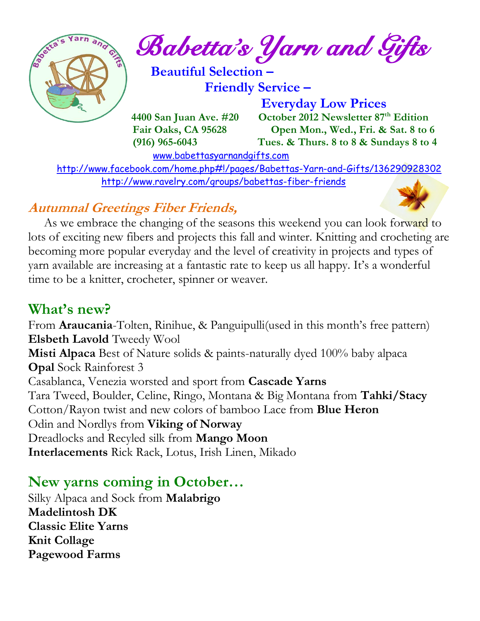

*Babetta's Yarn and Gifts* 

 **Beautiful Selection – Friendly Service –**

 **Everyday Low Prices 4400 San Juan Ave. #20 October 2012 Newsletter 87<sup>th</sup> Edition Fair Oaks, CA 95628 Open Mon., Wed., Fri. & Sat. 8 to 6 (916) 965-6043 Tues. & Thurs. 8 to 8 & Sundays 8 to 4** 

[www.babettasyarnandgifts.com](http://www.babettasyarnandgifts.com/)

 <http://www.facebook.com/home.php#!/pages/Babettas-Yarn-and-Gifts/136290928302> <http://www.ravelry.com/groups/babettas-fiber-friends>

## **Autumnal Greetings Fiber Friends,**

As we embrace the changing of the seasons this weekend you can look forward to lots of exciting new fibers and projects this fall and winter. Knitting and crocheting are becoming more popular everyday and the level of creativity in projects and types of yarn available are increasing at a fantastic rate to keep us all happy. It's a wonderful time to be a knitter, crocheter, spinner or weaver.

## **What's new?**

From **Araucania**-Tolten, Rinihue, & Panguipulli(used in this month's free pattern) **Elsbeth Lavold** Tweedy Wool **Misti Alpaca** Best of Nature solids & paints-naturally dyed 100% baby alpaca **Opal** Sock Rainforest 3 Casablanca, Venezia worsted and sport from **Cascade Yarns** Tara Tweed, Boulder, Celine, Ringo, Montana & Big Montana from **Tahki/Stacy** Cotton/Rayon twist and new colors of bamboo Lace from **Blue Heron** Odin and Nordlys from **Viking of Norway** Dreadlocks and Recyled silk from **Mango Moon Interlacements** Rick Rack, Lotus, Irish Linen, Mikado

## **New yarns coming in October…**

Silky Alpaca and Sock from **Malabrigo Madelintosh DK Classic Elite Yarns Knit Collage Pagewood Farms**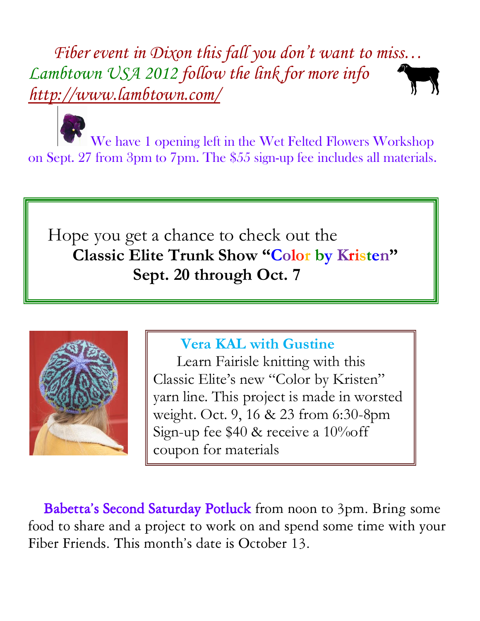*Fiber event in Dixon this fall you don't want to miss… Lambtown USA 2012 follow the link for more info <http://www.lambtown.com/>*

 We have 1 opening left in the Wet Felted Flowers Workshop on Sept. 27 from 3pm to 7pm. The \$55 sign-up fee includes all materials.

 Hope you get a chance to check out the  **Classic Elite Trunk Show "Color by Kristen" Sept. 20 through Oct. 7** 



**Vera KAL with Gustine**

 Learn Fairisle knitting with this Classic Elite's new "Color by Kristen" yarn line. This project is made in worsted weight. Oct. 9, 16 & 23 from 6:30-8pm Sign-up fee \$40 & receive a 10%off coupon for materials

Babetta's Second Saturday Potluck from noon to 3pm. Bring some food to share and a project to work on and spend some time with your Fiber Friends. This month's date is October 13.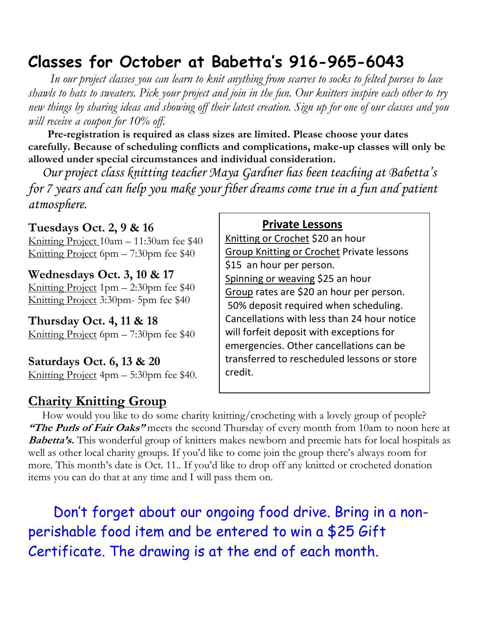# **Classes for October at Babetta's 916-965-6043**

 *In our project classes you can learn to knit anything from scarves to socks to felted purses to lace shawls to hats to sweaters. Pick your project and join in the fun. Our knitters inspire each other to try new things by sharing ideas and showing off their latest creation. Sign up for one of our classes and you will receive a coupon for 10% off.*

 **Pre-registration is required as class sizes are limited. Please choose your dates carefully. Because of scheduling conflicts and complications, make-up classes will only be allowed under special circumstances and individual consideration.**

*Our project class knitting teacher Maya Gardner has been teaching at Babetta's for 7 years and can help you make your fiber dreams come true in a fun and patient atmosphere.*

**Tuesdays Oct. 2, 9 & 16** Knitting Project 10am – 11:30am fee \$40 Knitting Project 6pm – 7:30pm fee \$40

**Wednesdays Oct. 3, 10 & 17** Knitting Project 1pm – 2:30pm fee \$40 Knitting Project 3:30pm- 5pm fee \$40

**Thursday Oct. 4, 11 & 18** Knitting Project 6pm – 7:30pm fee \$40

**Saturdays Oct. 6, 13 & 20** Knitting Project 4pm – 5:30pm fee \$40.

### **Charity Knitting Group**

#### **Private Lessons**

Knitting or Crochet \$20 an hour Group Knitting or Crochet Private lessons \$15 an hour per person. Spinning or weaving \$25 an hour Group rates are \$20 an hour per person. 50% deposit required when scheduling. Cancellations with less than 24 hour notice will forfeit deposit with exceptions for emergencies. Other cancellations can be transferred to rescheduled lessons or store credit.

 How would you like to do some charity knitting/crocheting with a lovely group of people? **"The Purls of Fair Oaks"** meets the second Thursday of every month from 10am to noon here at **Babetta's.** This wonderful group of knitters makes newborn and preemie hats for local hospitals as well as other local charity groups. If you'd like to come join the group there's always room for more. This month's date is Oct. 11.. If you'd like to drop off any knitted or crocheted donation items you can do that at any time and I will pass them on.

 Don't forget about our ongoing food drive. Bring in a nonperishable food item and be entered to win a \$25 Gift Certificate. The drawing is at the end of each month.